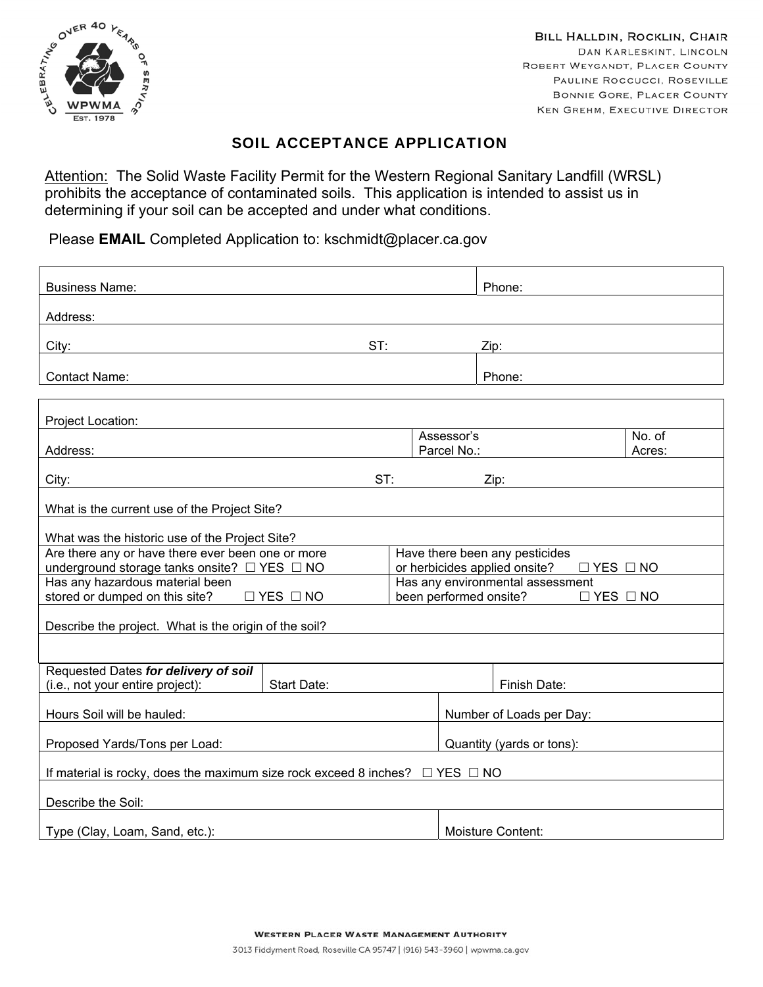

BILL HALLDIN, ROCKLIN, CHAIR DAN KARLESKINT, LINCOLN ROBERT WEYGANDT, PLACER COUNTY PAULINE ROCCUCCI, ROSEVILLE **BONNIE GORE, PLACER COUNTY** KEN GREHM, EXECUTIVE DIRECTOR

## SOIL ACCEPTANCE APPLICATION

Attention: The Solid Waste Facility Permit for the Western Regional Sanitary Landfill (WRSL) prohibits the acceptance of contaminated soils. This application is intended to assist us in determining if your soil can be accepted and under what conditions.

Please **EMAIL** Completed Application to: kschmidt@placer.ca.gov

| <b>Business Name:</b>                                                                             |     |                                                                                         | Phone:                                         |        |  |
|---------------------------------------------------------------------------------------------------|-----|-----------------------------------------------------------------------------------------|------------------------------------------------|--------|--|
| Address:                                                                                          |     |                                                                                         |                                                |        |  |
| City:                                                                                             | ST: |                                                                                         | Zip:                                           |        |  |
|                                                                                                   |     |                                                                                         |                                                |        |  |
| <b>Contact Name:</b>                                                                              |     |                                                                                         | Phone:                                         |        |  |
|                                                                                                   |     |                                                                                         |                                                |        |  |
| Project Location:                                                                                 |     | Assessor's                                                                              |                                                | No. of |  |
| Address:                                                                                          |     | Parcel No.:                                                                             |                                                | Acres: |  |
| ST:<br>City:<br>Zip:                                                                              |     |                                                                                         |                                                |        |  |
| What is the current use of the Project Site?                                                      |     |                                                                                         |                                                |        |  |
|                                                                                                   |     |                                                                                         |                                                |        |  |
| What was the historic use of the Project Site?                                                    |     |                                                                                         |                                                |        |  |
| Are there any or have there ever been one or more<br>underground storage tanks onsite? □ YES □ NO |     | Have there been any pesticides<br>or herbicides applied onsite?<br>$\Box$ YES $\Box$ NO |                                                |        |  |
| Has any hazardous material been                                                                   |     | Has any environmental assessment                                                        |                                                |        |  |
| stored or dumped on this site?<br>$\Box$ YES $\Box$ NO                                            |     |                                                                                         | been performed onsite?<br>$\Box$ YES $\Box$ NO |        |  |
| Describe the project. What is the origin of the soil?                                             |     |                                                                                         |                                                |        |  |
|                                                                                                   |     |                                                                                         |                                                |        |  |
| Requested Dates for delivery of soil                                                              |     |                                                                                         |                                                |        |  |
| (i.e., not your entire project):<br><b>Start Date:</b>                                            |     |                                                                                         | Finish Date:                                   |        |  |
| Hours Soil will be hauled:                                                                        |     |                                                                                         | Number of Loads per Day:                       |        |  |
| Proposed Yards/Tons per Load:                                                                     |     |                                                                                         | Quantity (yards or tons):                      |        |  |
| If material is rocky, does the maximum size rock exceed 8 inches? $\Box$ YES $\Box$ NO            |     |                                                                                         |                                                |        |  |
|                                                                                                   |     |                                                                                         |                                                |        |  |
| Describe the Soil:                                                                                |     |                                                                                         |                                                |        |  |
| Type (Clay, Loam, Sand, etc.):                                                                    |     |                                                                                         | Moisture Content:                              |        |  |